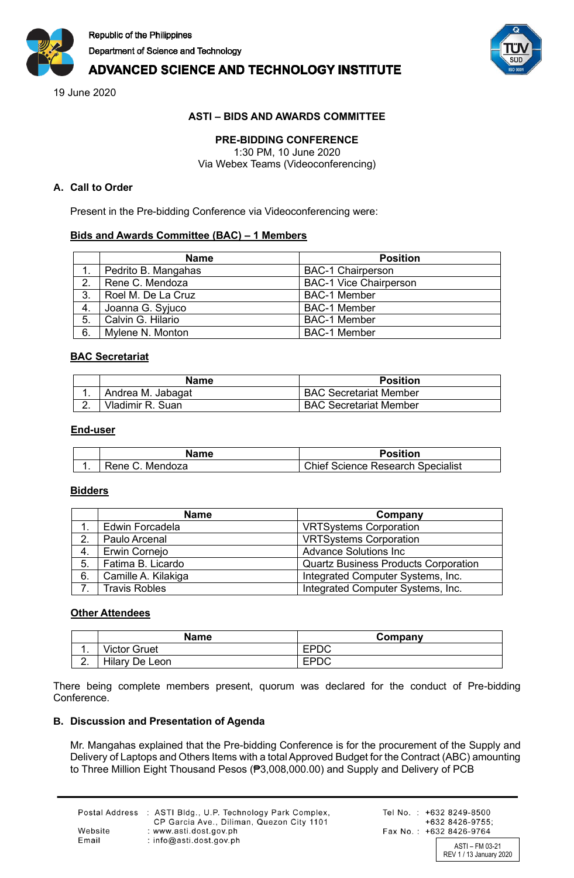

# **ADVANCED SCIENCE AND TECHNOLOGY INSTITUTE**

19 June 2020

## **ASTI – BIDS AND AWARDS COMMITTEE**

#### **PRE-BIDDING CONFERENCE** 1:30 PM, 10 June 2020 Via Webex Teams (Videoconferencing)

## **A. Call to Order**

Present in the Pre-bidding Conference via Videoconferencing were:

# **Bids and Awards Committee (BAC) – 1 Members**

|    | <b>Name</b>         | <b>Position</b>               |
|----|---------------------|-------------------------------|
|    | Pedrito B. Mangahas | <b>BAC-1 Chairperson</b>      |
| 2. | Rene C. Mendoza     | <b>BAC-1 Vice Chairperson</b> |
| 3. | Roel M. De La Cruz  | <b>BAC-1 Member</b>           |
| 4. | Joanna G. Syjuco    | <b>BAC-1 Member</b>           |
| 5. | Calvin G. Hilario   | <b>BAC-1 Member</b>           |
| 6. | Mylene N. Monton    | <b>BAC-1 Member</b>           |

#### **BAC Secretariat**

| Name              | <b>Position</b>               |
|-------------------|-------------------------------|
| Andrea M. Jabagat | <b>BAC Secretariat Member</b> |
| Vladimir R. Suan  | <b>BAC Secretariat Member</b> |

#### **End-user**

| <b>Name</b>     | <b>Position</b>                   |  |
|-----------------|-----------------------------------|--|
| Rene C. Mendoza | Chief Science Research Specialist |  |

#### **Bidders**

|    | <b>Name</b>          | Company                                     |  |
|----|----------------------|---------------------------------------------|--|
|    | Edwin Forcadela      | <b>VRTSystems Corporation</b>               |  |
| 2. | Paulo Arcenal        | <b>VRTSystems Corporation</b>               |  |
| 4. | Erwin Cornejo        | <b>Advance Solutions Inc.</b>               |  |
| 5. | Fatima B. Licardo    | <b>Quartz Business Products Corporation</b> |  |
| 6. | Camille A. Kilakiga  | Integrated Computer Systems, Inc.           |  |
|    | <b>Travis Robles</b> | Integrated Computer Systems, Inc.           |  |

#### **Other Attendees**

|          | <b>Name</b>    | Company   |
|----------|----------------|-----------|
| . .      | Victor Gruet   | ∪ט        |
| <u>.</u> | Hilary De Leon | ∩חם:<br>◡ |

There being complete members present, quorum was declared for the conduct of Pre-bidding Conference.

#### **B. Discussion and Presentation of Agenda**

Mr. Mangahas explained that the Pre-bidding Conference is for the procurement of the Supply and Delivery of Laptops and Others Items with a total Approved Budget for the Contract (ABC) amounting to Three Million Eight Thousand Pesos (₱3,008,000.00) and Supply and Delivery of PCB

|         | Postal Address : ASTI Bldg., U.P. Technology Park Complex, |
|---------|------------------------------------------------------------|
|         | CP Garcia Ave., Diliman, Quezon City 1101                  |
| Website | : www.asti.dost.gov.ph                                     |
| Email   | : $info@asti.dost.gov.ph$                                  |



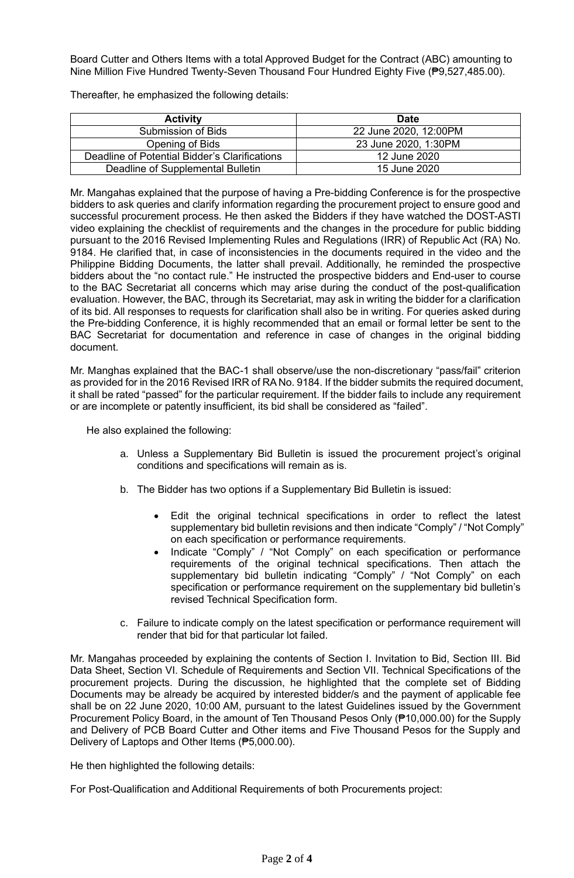Board Cutter and Others Items with a total Approved Budget for the Contract (ABC) amounting to Nine Million Five Hundred Twenty-Seven Thousand Four Hundred Eighty Five (₱9,527,485.00).

Thereafter, he emphasized the following details:

| <b>Activity</b>                               | <b>Date</b>           |
|-----------------------------------------------|-----------------------|
| Submission of Bids                            | 22 June 2020, 12:00PM |
| Opening of Bids                               | 23 June 2020, 1:30PM  |
| Deadline of Potential Bidder's Clarifications | 12 June 2020          |
| Deadline of Supplemental Bulletin             | 15 June 2020          |

Mr. Mangahas explained that the purpose of having a Pre-bidding Conference is for the prospective bidders to ask queries and clarify information regarding the procurement project to ensure good and successful procurement process. He then asked the Bidders if they have watched the DOST-ASTI video explaining the checklist of requirements and the changes in the procedure for public bidding pursuant to the 2016 Revised Implementing Rules and Regulations (IRR) of Republic Act (RA) No. 9184. He clarified that, in case of inconsistencies in the documents required in the video and the Philippine Bidding Documents, the latter shall prevail. Additionally, he reminded the prospective bidders about the "no contact rule." He instructed the prospective bidders and End-user to course to the BAC Secretariat all concerns which may arise during the conduct of the post-qualification evaluation. However, the BAC, through its Secretariat, may ask in writing the bidder for a clarification of its bid. All responses to requests for clarification shall also be in writing. For queries asked during the Pre-bidding Conference, it is highly recommended that an email or formal letter be sent to the BAC Secretariat for documentation and reference in case of changes in the original bidding document.

Mr. Manghas explained that the BAC-1 shall observe/use the non-discretionary "pass/fail" criterion as provided for in the 2016 Revised IRR of RA No. 9184. If the bidder submits the required document, it shall be rated "passed" for the particular requirement. If the bidder fails to include any requirement or are incomplete or patently insufficient, its bid shall be considered as "failed".

He also explained the following:

- a. Unless a Supplementary Bid Bulletin is issued the procurement project's original conditions and specifications will remain as is.
- b. The Bidder has two options if a Supplementary Bid Bulletin is issued:
	- Edit the original technical specifications in order to reflect the latest supplementary bid bulletin revisions and then indicate "Comply" / "Not Comply" on each specification or performance requirements.
	- Indicate "Comply" / "Not Comply" on each specification or performance requirements of the original technical specifications. Then attach the supplementary bid bulletin indicating "Comply" / "Not Comply" on each specification or performance requirement on the supplementary bid bulletin's revised Technical Specification form.
- c. Failure to indicate comply on the latest specification or performance requirement will render that bid for that particular lot failed.

Mr. Mangahas proceeded by explaining the contents of Section I. Invitation to Bid, Section III. Bid Data Sheet, Section VI. Schedule of Requirements and Section VII. Technical Specifications of the procurement projects. During the discussion, he highlighted that the complete set of Bidding Documents may be already be acquired by interested bidder/s and the payment of applicable fee shall be on 22 June 2020, 10:00 AM, pursuant to the latest Guidelines issued by the Government Procurement Policy Board, in the amount of Ten Thousand Pesos Only (₱10,000.00) for the Supply and Delivery of PCB Board Cutter and Other items and Five Thousand Pesos for the Supply and Delivery of Laptops and Other Items (₱5,000.00).

He then highlighted the following details:

For Post-Qualification and Additional Requirements of both Procurements project: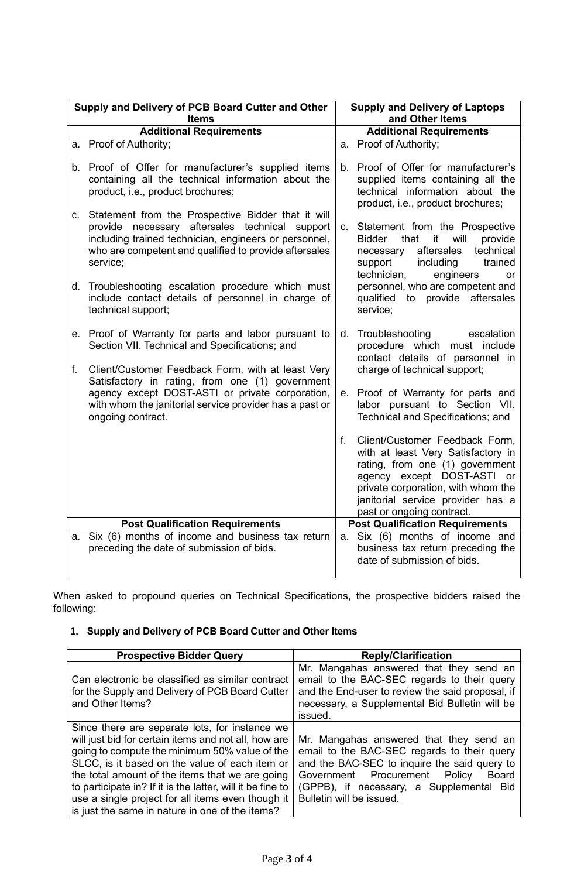|    | Supply and Delivery of PCB Board Cutter and Other<br><b>Items</b>                                                                                                                                                                                                                        |                                        | <b>Supply and Delivery of Laptops</b><br>and Other Items                                                                                                                                                                                      |  |  |
|----|------------------------------------------------------------------------------------------------------------------------------------------------------------------------------------------------------------------------------------------------------------------------------------------|----------------------------------------|-----------------------------------------------------------------------------------------------------------------------------------------------------------------------------------------------------------------------------------------------|--|--|
|    | <b>Additional Requirements</b>                                                                                                                                                                                                                                                           |                                        | <b>Additional Requirements</b>                                                                                                                                                                                                                |  |  |
|    | a. Proof of Authority;                                                                                                                                                                                                                                                                   |                                        | a. Proof of Authority;                                                                                                                                                                                                                        |  |  |
|    | b. Proof of Offer for manufacturer's supplied items<br>containing all the technical information about the<br>product, i.e., product brochures;                                                                                                                                           |                                        | b. Proof of Offer for manufacturer's<br>supplied items containing all the<br>technical information about the<br>product, i.e., product brochures;                                                                                             |  |  |
| C. | Statement from the Prospective Bidder that it will<br>provide necessary aftersales technical support<br>including trained technician, engineers or personnel,<br>who are competent and qualified to provide aftersales<br>service;<br>d. Troubleshooting escalation procedure which must |                                        | c. Statement from the Prospective<br>that<br>it<br>will<br><b>Bidder</b><br>provide<br>aftersales<br>technical<br>necessary<br>support<br>including<br>trained<br>technician,<br>engineers<br><b>or</b><br>personnel, who are competent and   |  |  |
|    | include contact details of personnel in charge of<br>technical support;                                                                                                                                                                                                                  |                                        | qualified to provide aftersales<br>service;                                                                                                                                                                                                   |  |  |
| f. | e. Proof of Warranty for parts and labor pursuant to<br>Section VII. Technical and Specifications; and<br>Client/Customer Feedback Form, with at least Very                                                                                                                              | d.                                     | Troubleshooting<br>escalation<br>procedure which must include<br>contact details of personnel in<br>charge of technical support;                                                                                                              |  |  |
|    | Satisfactory in rating, from one (1) government<br>agency except DOST-ASTI or private corporation,<br>with whom the janitorial service provider has a past or<br>ongoing contract.                                                                                                       |                                        | e. Proof of Warranty for parts and<br>labor pursuant to Section VII.<br>Technical and Specifications; and                                                                                                                                     |  |  |
|    |                                                                                                                                                                                                                                                                                          | f.                                     | Client/Customer Feedback Form,<br>with at least Very Satisfactory in<br>rating, from one (1) government<br>agency except DOST-ASTI or<br>private corporation, with whom the<br>janitorial service provider has a<br>past or ongoing contract. |  |  |
|    | <b>Post Qualification Requirements</b>                                                                                                                                                                                                                                                   | <b>Post Qualification Requirements</b> |                                                                                                                                                                                                                                               |  |  |
| а. | Six (6) months of income and business tax return<br>preceding the date of submission of bids.                                                                                                                                                                                            |                                        | a. Six (6) months of income and<br>business tax return preceding the<br>date of submission of bids.                                                                                                                                           |  |  |

When asked to propound queries on Technical Specifications, the prospective bidders raised the following:

# **1. Supply and Delivery of PCB Board Cutter and Other Items**

| <b>Prospective Bidder Query</b>                                                                                                                                                                                                                                                                                                                                                                                                    | <b>Reply/Clarification</b>                                                                                                                                                                                                                                  |
|------------------------------------------------------------------------------------------------------------------------------------------------------------------------------------------------------------------------------------------------------------------------------------------------------------------------------------------------------------------------------------------------------------------------------------|-------------------------------------------------------------------------------------------------------------------------------------------------------------------------------------------------------------------------------------------------------------|
| Can electronic be classified as similar contract<br>for the Supply and Delivery of PCB Board Cutter<br>and Other Items?                                                                                                                                                                                                                                                                                                            | Mr. Mangahas answered that they send an<br>email to the BAC-SEC regards to their query<br>and the End-user to review the said proposal, if<br>necessary, a Supplemental Bid Bulletin will be<br>issued.                                                     |
| Since there are separate lots, for instance we<br>will just bid for certain items and not all, how are<br>going to compute the minimum 50% value of the<br>SLCC, is it based on the value of each item or<br>the total amount of the items that we are going<br>to participate in? If it is the latter, will it be fine to<br>use a single project for all items even though it<br>is just the same in nature in one of the items? | Mr. Mangahas answered that they send an<br>email to the BAC-SEC regards to their query<br>and the BAC-SEC to inquire the said query to<br>Government Procurement<br>Policy<br>Board<br>(GPPB), if necessary, a Supplemental Bid<br>Bulletin will be issued. |